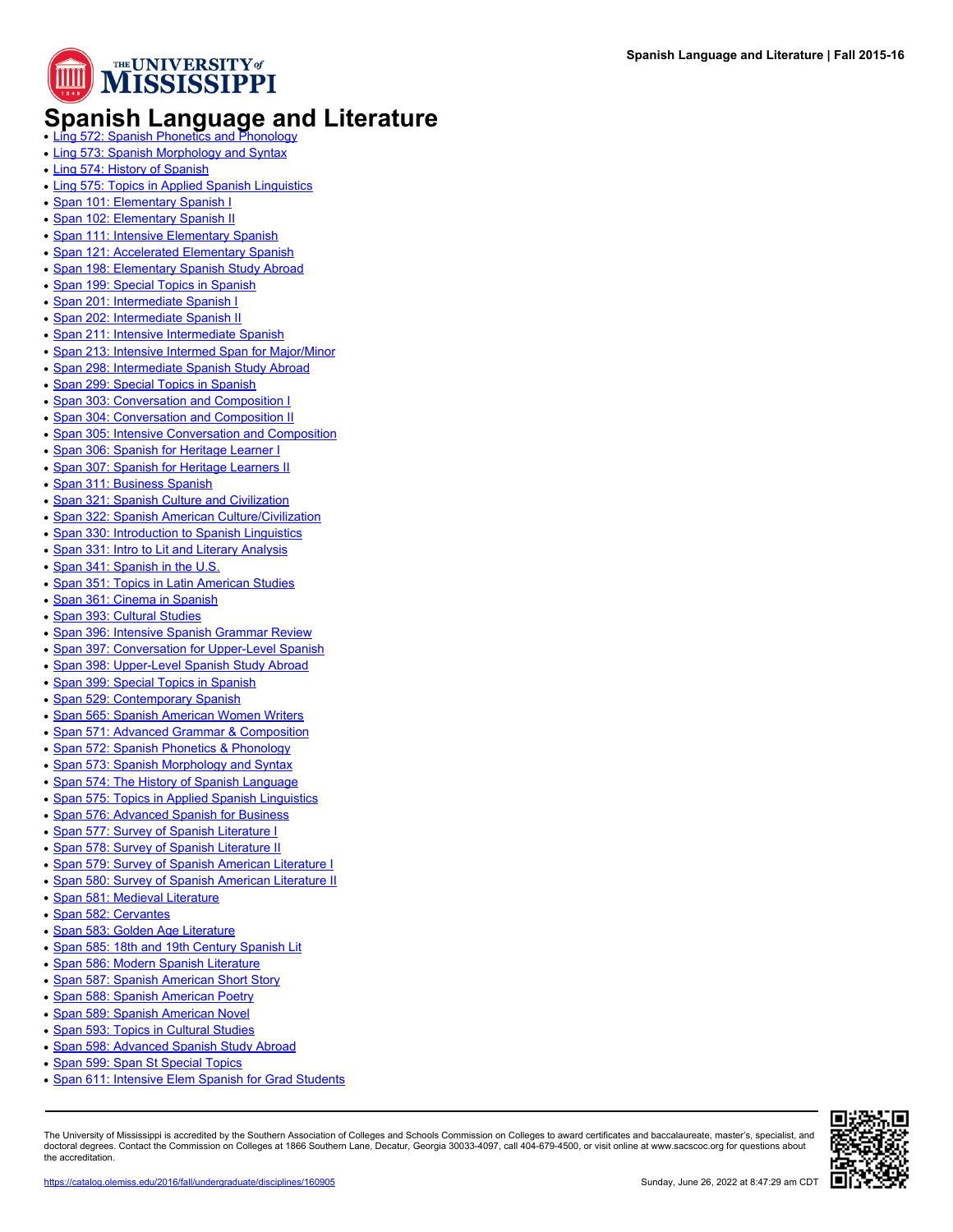

## **Spanish Language and Literature**

- 
- [Ling 573: Spanish Morphology and Syntax](https://catalog.olemiss.edu/2016/fall/ling-573)
- [Ling 574: History of Spanish](https://catalog.olemiss.edu/2016/fall/ling-574)
- [Ling 575: Topics in Applied Spanish Linguistics](https://catalog.olemiss.edu/2016/fall/ling-575)
- [Span 101: Elementary Spanish I](https://catalog.olemiss.edu/2016/fall/span-101)
- [Span 102: Elementary Spanish II](https://catalog.olemiss.edu/2016/fall/span-102)
- [Span 111: Intensive Elementary Spanish](https://catalog.olemiss.edu/2016/fall/span-111)
- [Span 121: Accelerated Elementary Spanish](https://catalog.olemiss.edu/2016/fall/span-121)
- [Span 198: Elementary Spanish Study Abroad](https://catalog.olemiss.edu/2016/fall/span-198)
- [Span 199: Special Topics in Spanish](https://catalog.olemiss.edu/2016/fall/span-199)
- [Span 201: Intermediate Spanish I](https://catalog.olemiss.edu/2016/fall/span-201)
- [Span 202: Intermediate Spanish II](https://catalog.olemiss.edu/2016/fall/span-202)
- [Span 211: Intensive Intermediate Spanish](https://catalog.olemiss.edu/2016/fall/span-211)
- [Span 213: Intensive Intermed Span for Major/Minor](https://catalog.olemiss.edu/2016/fall/span-213)
- [Span 298: Intermediate Spanish Study Abroad](https://catalog.olemiss.edu/2016/fall/span-298)
- [Span 299: Special Topics in Spanish](https://catalog.olemiss.edu/2016/fall/span-299)
- [Span 303: Conversation and Composition I](https://catalog.olemiss.edu/2016/fall/span-303)
- [Span 304: Conversation and Composition II](https://catalog.olemiss.edu/2016/fall/span-304)
- [Span 305: Intensive Conversation and Composition](https://catalog.olemiss.edu/2016/fall/span-305)
- [Span 306: Spanish for Heritage Learner I](https://catalog.olemiss.edu/2016/fall/span-306)
- [Span 307: Spanish for Heritage Learners II](https://catalog.olemiss.edu/2016/fall/span-307)
- [Span 311: Business Spanish](https://catalog.olemiss.edu/2016/fall/span-311)
- [Span 321: Spanish Culture and Civilization](https://catalog.olemiss.edu/2016/fall/span-321)
- [Span 322: Spanish American Culture/Civilization](https://catalog.olemiss.edu/2016/fall/span-322)
- [Span 330: Introduction to Spanish Linguistics](https://catalog.olemiss.edu/2016/fall/span-330)
- [Span 331: Intro to Lit and Literary Analysis](https://catalog.olemiss.edu/2016/fall/span-331)
- [Span 341: Spanish in the U.S.](https://catalog.olemiss.edu/2016/fall/span-341)
- [Span 351: Topics in Latin American Studies](https://catalog.olemiss.edu/2016/fall/span-351)
- [Span 361: Cinema in Spanish](https://catalog.olemiss.edu/2016/fall/span-361)
- [Span 393: Cultural Studies](https://catalog.olemiss.edu/2016/fall/span-393)
- [Span 396: Intensive Spanish Grammar Review](https://catalog.olemiss.edu/2016/fall/span-396)
- [Span 397: Conversation for Upper-Level Spanish](https://catalog.olemiss.edu/2016/fall/span-397)
- [Span 398: Upper-Level Spanish Study Abroad](https://catalog.olemiss.edu/2016/fall/span-398)
- [Span 399: Special Topics in Spanish](https://catalog.olemiss.edu/2016/fall/span-399)
- [Span 529: Contemporary Spanish](https://catalog.olemiss.edu/2016/fall/span-529)
- [Span 565: Spanish American Women Writers](https://catalog.olemiss.edu/2016/fall/span-565)
- [Span 571: Advanced Grammar & Composition](https://catalog.olemiss.edu/2016/fall/span-571)
- [Span 572: Spanish Phonetics & Phonology](https://catalog.olemiss.edu/2016/fall/span-572)
- [Span 573: Spanish Morphology and Syntax](https://catalog.olemiss.edu/2016/fall/span-573)
- [Span 574: The History of Spanish Language](https://catalog.olemiss.edu/2016/fall/span-574)
- [Span 575: Topics in Applied Spanish Linguistics](https://catalog.olemiss.edu/2016/fall/span-575)
- [Span 576: Advanced Spanish for Business](https://catalog.olemiss.edu/2016/fall/span-576)
- [Span 577: Survey of Spanish Literature I](https://catalog.olemiss.edu/2016/fall/span-577)
- [Span 578: Survey of Spanish Literature II](https://catalog.olemiss.edu/2016/fall/span-578)
- [Span 579: Survey of Spanish American Literature I](https://catalog.olemiss.edu/2016/fall/span-579)
- 
- [Span 580: Survey of Spanish American Literature II](https://catalog.olemiss.edu/2016/fall/span-580)
- [Span 581: Medieval Literature](https://catalog.olemiss.edu/2016/fall/span-581)
- [Span 582: Cervantes](https://catalog.olemiss.edu/2016/fall/span-582)
- [Span 583: Golden Age Literature](https://catalog.olemiss.edu/2016/fall/span-583)
- [Span 585: 18th and 19th Century Spanish Lit](https://catalog.olemiss.edu/2016/fall/span-585)
- [Span 586: Modern Spanish Literature](https://catalog.olemiss.edu/2016/fall/span-586)
- [Span 587: Spanish American Short Story](https://catalog.olemiss.edu/2016/fall/span-587)
- [Span 588: Spanish American Poetry](https://catalog.olemiss.edu/2016/fall/span-588)
- [Span 589: Spanish American Novel](https://catalog.olemiss.edu/2016/fall/span-589)
- [Span 593: Topics in Cultural Studies](https://catalog.olemiss.edu/2016/fall/span-593)
- [Span 598: Advanced Spanish Study Abroad](https://catalog.olemiss.edu/2016/fall/span-598)
- [Span 599: Span St Special Topics](https://catalog.olemiss.edu/2016/fall/span-599)
- [Span 611: Intensive Elem Spanish for Grad Students](https://catalog.olemiss.edu/2016/fall/span-611)

The University of Mississippi is accredited by the Southern Association of Colleges and Schools Commission on Colleges to award certificates and baccalaureate, master's, specialist, and doctoral degrees. Contact the Commission on Colleges at 1866 Southern Lane, Decatur, Georgia 30033-4097, call 404-679-4500, or visit online at www.sacscoc.org for questions about the accreditation.